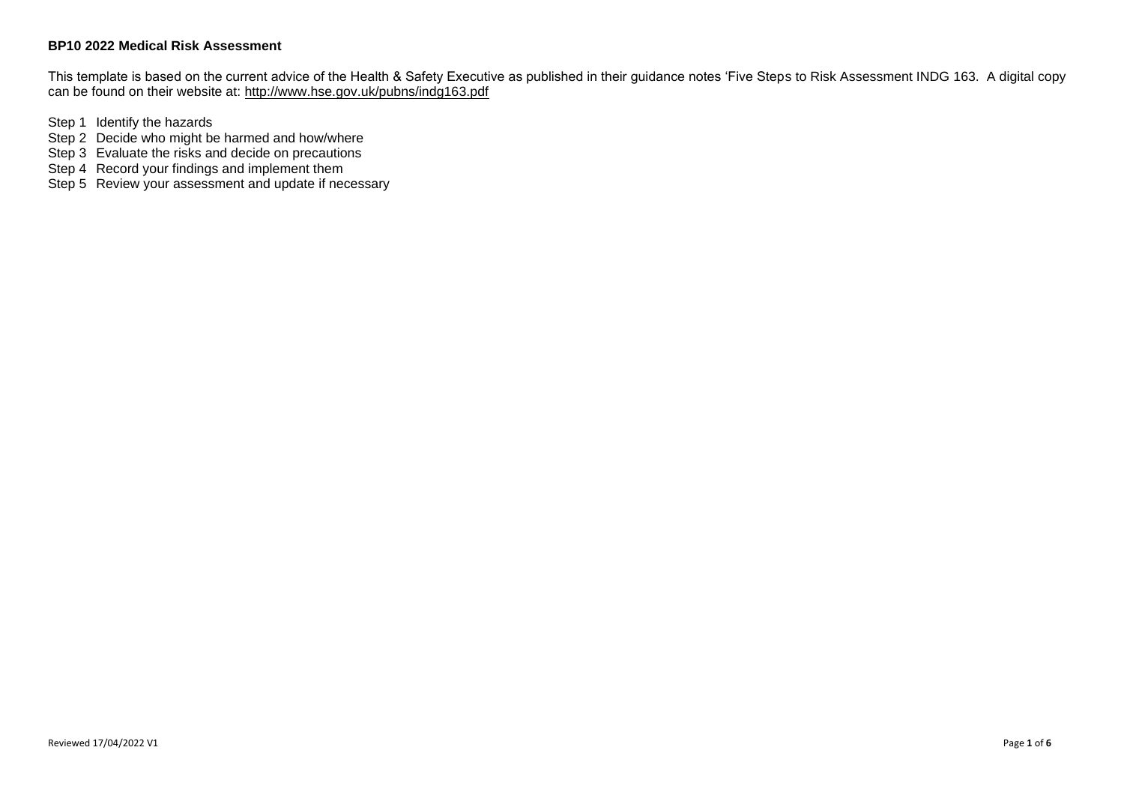This template is based on the current advice of the Health & Safety Executive as published in their guidance notes 'Five Steps to Risk Assessment INDG 163. A digital copy can be found on their website at:<http://www.hse.gov.uk/pubns/indg163.pdf>

Step 1 Identify the hazards

- Step 2 Decide who might be harmed and how/where
- Step 3 Evaluate the risks and decide on precautions
- Step 4 Record your findings and implement them

Step 5 Review your assessment and update if necessary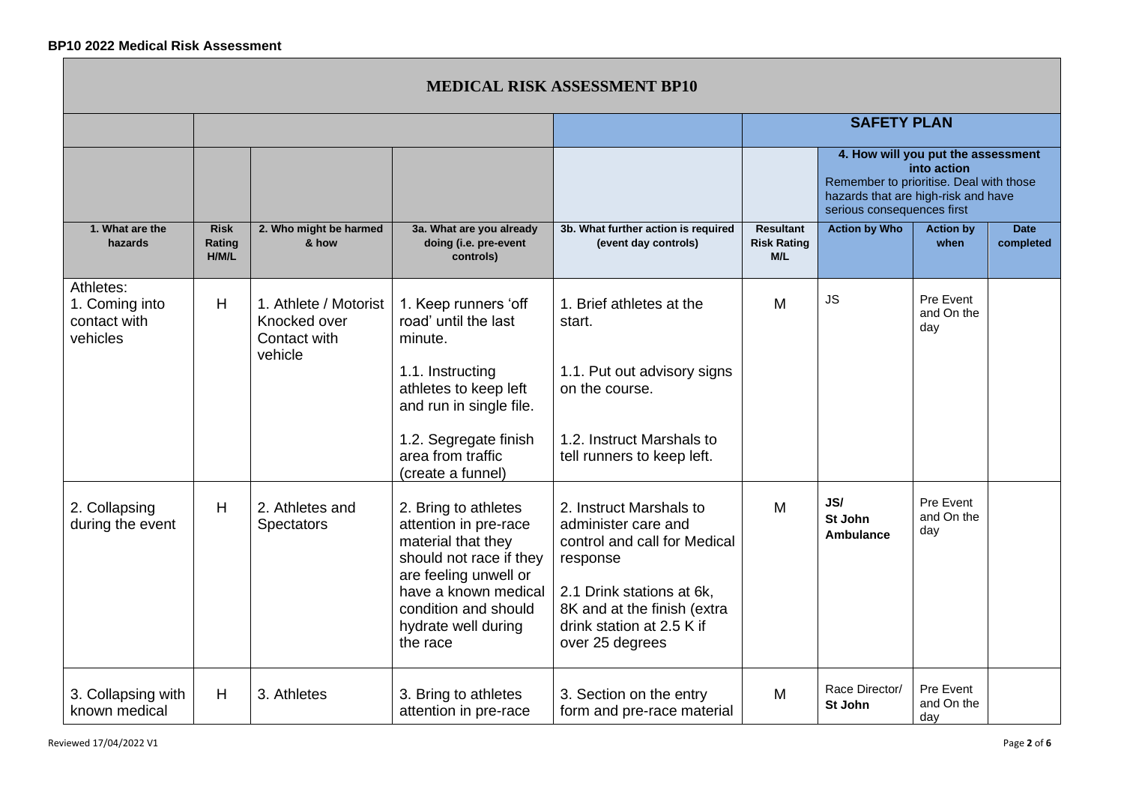|                                                         |                                |                                                                  |                                                                                                                                                 |                                                                                                                         | <b>SAFETY PLAN</b>                                                                                                                                                |                             |                                |                          |
|---------------------------------------------------------|--------------------------------|------------------------------------------------------------------|-------------------------------------------------------------------------------------------------------------------------------------------------|-------------------------------------------------------------------------------------------------------------------------|-------------------------------------------------------------------------------------------------------------------------------------------------------------------|-----------------------------|--------------------------------|--------------------------|
|                                                         |                                |                                                                  |                                                                                                                                                 |                                                                                                                         | 4. How will you put the assessment<br>into action<br>Remember to prioritise. Deal with those<br>hazards that are high-risk and have<br>serious consequences first |                             |                                |                          |
| 1. What are the<br>hazards                              | <b>Risk</b><br>Rating<br>H/M/L | 2. Who might be harmed<br>& how                                  | 3a. What are you already<br>doing (i.e. pre-event<br>controls)                                                                                  | 3b. What further action is required<br>(event day controls)                                                             | <b>Resultant</b><br><b>Risk Rating</b><br>M/L                                                                                                                     | <b>Action by Who</b>        | <b>Action by</b><br>when       | <b>Date</b><br>completed |
| Athletes:<br>1. Coming into<br>contact with<br>vehicles | H                              | 1. Athlete / Motorist<br>Knocked over<br>Contact with<br>vehicle | 1. Keep runners 'off<br>road' until the last<br>minute.                                                                                         | 1. Brief athletes at the<br>start.                                                                                      | M                                                                                                                                                                 | <b>JS</b>                   | Pre Event<br>and On the<br>day |                          |
|                                                         |                                |                                                                  | 1.1. Instructing<br>athletes to keep left<br>and run in single file.                                                                            | 1.1. Put out advisory signs<br>on the course.                                                                           |                                                                                                                                                                   |                             |                                |                          |
|                                                         |                                |                                                                  | 1.2. Segregate finish<br>area from traffic<br>(create a funnel)                                                                                 | 1.2. Instruct Marshals to<br>tell runners to keep left.                                                                 |                                                                                                                                                                   |                             |                                |                          |
| 2. Collapsing<br>during the event                       | H                              | 2. Athletes and<br><b>Spectators</b>                             | 2. Bring to athletes<br>attention in pre-race<br>material that they<br>should not race if they<br>are feeling unwell or<br>have a known medical | 2. Instruct Marshals to<br>administer care and<br>control and call for Medical<br>response<br>2.1 Drink stations at 6k, | M                                                                                                                                                                 | JS/<br>St John<br>Ambulance | Pre Event<br>and On the<br>day |                          |
|                                                         |                                |                                                                  | condition and should<br>hydrate well during<br>the race                                                                                         | 8K and at the finish (extra<br>drink station at 2.5 K if<br>over 25 degrees                                             |                                                                                                                                                                   |                             |                                |                          |
| 3. Collapsing with<br>known medical                     | H                              | 3. Athletes                                                      | 3. Bring to athletes<br>attention in pre-race                                                                                                   | 3. Section on the entry<br>form and pre-race material                                                                   | M                                                                                                                                                                 | Race Director/<br>St John   | Pre Event<br>and On the<br>day |                          |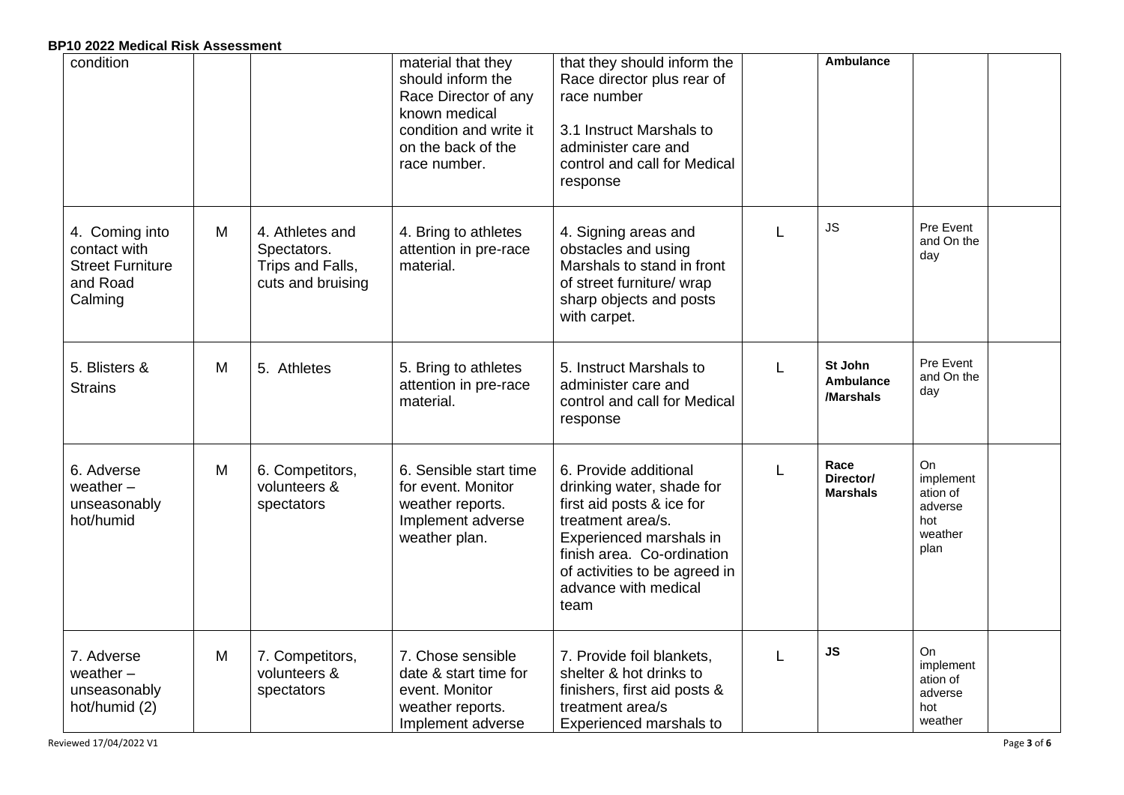| condition                                                                        |   |                                                                         | material that they<br>should inform the<br>Race Director of any<br>known medical<br>condition and write it<br>on the back of the<br>race number. | that they should inform the<br>Race director plus rear of<br>race number<br>3.1 Instruct Marshals to<br>administer care and<br>control and call for Medical<br>response                                                        |   | <b>Ambulance</b>                     |                                                                  |  |
|----------------------------------------------------------------------------------|---|-------------------------------------------------------------------------|--------------------------------------------------------------------------------------------------------------------------------------------------|--------------------------------------------------------------------------------------------------------------------------------------------------------------------------------------------------------------------------------|---|--------------------------------------|------------------------------------------------------------------|--|
| 4. Coming into<br>contact with<br><b>Street Furniture</b><br>and Road<br>Calming | M | 4. Athletes and<br>Spectators.<br>Trips and Falls,<br>cuts and bruising | 4. Bring to athletes<br>attention in pre-race<br>material.                                                                                       | 4. Signing areas and<br>obstacles and using<br>Marshals to stand in front<br>of street furniture/ wrap<br>sharp objects and posts<br>with carpet.                                                                              | L | <b>JS</b>                            | Pre Event<br>and On the<br>day                                   |  |
| 5. Blisters &<br><b>Strains</b>                                                  | M | 5. Athletes                                                             | 5. Bring to athletes<br>attention in pre-race<br>material.                                                                                       | 5. Instruct Marshals to<br>administer care and<br>control and call for Medical<br>response                                                                                                                                     | L | St John<br>Ambulance<br>/Marshals    | Pre Event<br>and On the<br>day                                   |  |
| 6. Adverse<br>weather $-$<br>unseasonably<br>hot/humid                           | M | 6. Competitors,<br>volunteers &<br>spectators                           | 6. Sensible start time<br>for event. Monitor<br>weather reports.<br>Implement adverse<br>weather plan.                                           | 6. Provide additional<br>drinking water, shade for<br>first aid posts & ice for<br>treatment area/s.<br>Experienced marshals in<br>finish area. Co-ordination<br>of activities to be agreed in<br>advance with medical<br>team |   | Race<br>Director/<br><b>Marshals</b> | On<br>implement<br>ation of<br>adverse<br>hot<br>weather<br>plan |  |
| 7. Adverse<br>weather $-$<br>unseasonably<br>hot/humid (2)                       | M | 7. Competitors,<br>volunteers &<br>spectators                           | 7. Chose sensible<br>date & start time for<br>event. Monitor<br>weather reports.<br>Implement adverse                                            | 7. Provide foil blankets,<br>shelter & hot drinks to<br>finishers, first aid posts &<br>treatment area/s<br><b>Experienced marshals to</b>                                                                                     |   | <b>JS</b>                            | On<br>implement<br>ation of<br>adverse<br>hot<br>weather         |  |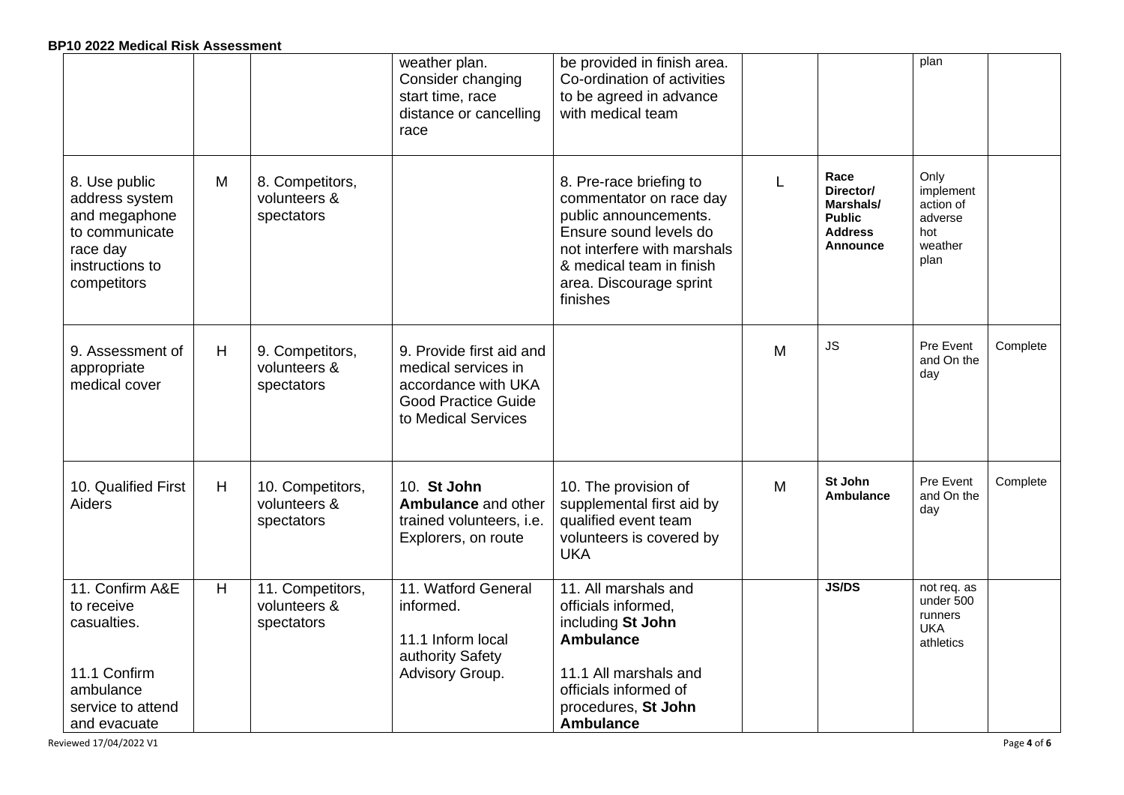|                                                                                                                  |   |                                                | weather plan.<br>Consider changing<br>start time, race<br>distance or cancelling<br>race                                    | be provided in finish area.<br>Co-ordination of activities<br>to be agreed in advance<br>with medical team                                                                                              |   |                                                                                      | plan                                                                |          |
|------------------------------------------------------------------------------------------------------------------|---|------------------------------------------------|-----------------------------------------------------------------------------------------------------------------------------|---------------------------------------------------------------------------------------------------------------------------------------------------------------------------------------------------------|---|--------------------------------------------------------------------------------------|---------------------------------------------------------------------|----------|
| 8. Use public<br>address system<br>and megaphone<br>to communicate<br>race day<br>instructions to<br>competitors | M | 8. Competitors,<br>volunteers &<br>spectators  |                                                                                                                             | 8. Pre-race briefing to<br>commentator on race day<br>public announcements.<br>Ensure sound levels do<br>not interfere with marshals<br>& medical team in finish<br>area. Discourage sprint<br>finishes |   | Race<br>Director/<br>Marshals/<br><b>Public</b><br><b>Address</b><br><b>Announce</b> | Only<br>implement<br>action of<br>adverse<br>hot<br>weather<br>plan |          |
| 9. Assessment of<br>appropriate<br>medical cover                                                                 | H | 9. Competitors,<br>volunteers &<br>spectators  | 9. Provide first aid and<br>medical services in<br>accordance with UKA<br><b>Good Practice Guide</b><br>to Medical Services |                                                                                                                                                                                                         | M | <b>JS</b>                                                                            | Pre Event<br>and On the<br>day                                      | Complete |
| 10. Qualified First<br>Aiders                                                                                    | H | 10. Competitors,<br>volunteers &<br>spectators | 10. St John<br>Ambulance and other<br>trained volunteers, i.e.<br>Explorers, on route                                       | 10. The provision of<br>supplemental first aid by<br>qualified event team<br>volunteers is covered by<br><b>UKA</b>                                                                                     | M | St John<br><b>Ambulance</b>                                                          | Pre Event<br>and On the<br>day                                      | Complete |
| 11. Confirm A&E<br>to receive<br>casualties.<br>11.1 Confirm<br>ambulance<br>service to attend<br>and evacuate   | H | 11. Competitors,<br>volunteers &<br>spectators | 11. Watford General<br>informed.<br>11.1 Inform local<br>authority Safety<br>Advisory Group.                                | 11. All marshals and<br>officials informed,<br>including St John<br><b>Ambulance</b><br>11.1 All marshals and<br>officials informed of<br>procedures, St John<br><b>Ambulance</b>                       |   | <b>JS/DS</b>                                                                         | not req. as<br>under 500<br>runners<br><b>UKA</b><br>athletics      |          |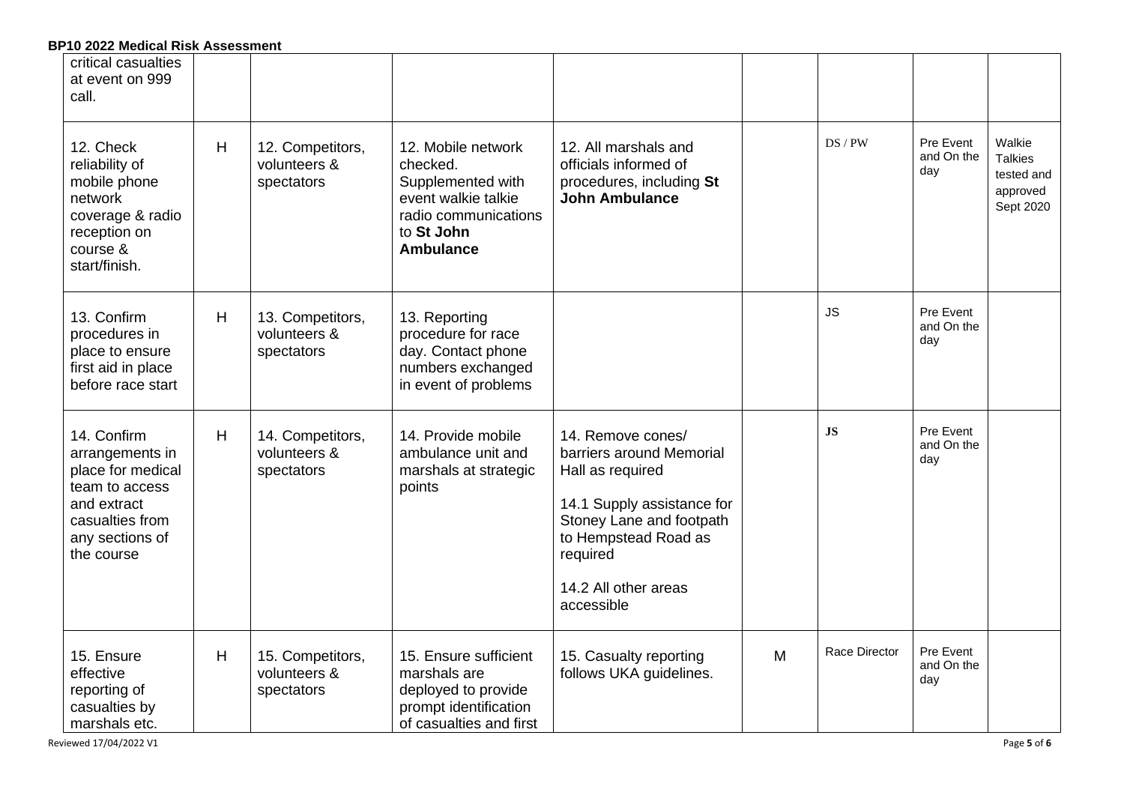| critical casualties<br>at event on 999<br>call.                                                                                          |   |                                                |                                                                                                                                      |                                                                                                                                                                                                       |   |               |                                |                                                                 |
|------------------------------------------------------------------------------------------------------------------------------------------|---|------------------------------------------------|--------------------------------------------------------------------------------------------------------------------------------------|-------------------------------------------------------------------------------------------------------------------------------------------------------------------------------------------------------|---|---------------|--------------------------------|-----------------------------------------------------------------|
| 12. Check<br>reliability of<br>mobile phone<br>network<br>coverage & radio<br>reception on<br>course &<br>start/finish.                  | H | 12. Competitors,<br>volunteers &<br>spectators | 12. Mobile network<br>checked.<br>Supplemented with<br>event walkie talkie<br>radio communications<br>to St John<br><b>Ambulance</b> | 12. All marshals and<br>officials informed of<br>procedures, including St<br><b>John Ambulance</b>                                                                                                    |   | $DS$ / $PW$   | Pre Event<br>and On the<br>day | Walkie<br><b>Talkies</b><br>tested and<br>approved<br>Sept 2020 |
| 13. Confirm<br>procedures in<br>place to ensure<br>first aid in place<br>before race start                                               | H | 13. Competitors,<br>volunteers &<br>spectators | 13. Reporting<br>procedure for race<br>day. Contact phone<br>numbers exchanged<br>in event of problems                               |                                                                                                                                                                                                       |   | <b>JS</b>     | Pre Event<br>and On the<br>day |                                                                 |
| 14. Confirm<br>arrangements in<br>place for medical<br>team to access<br>and extract<br>casualties from<br>any sections of<br>the course | H | 14. Competitors,<br>volunteers &<br>spectators | 14. Provide mobile<br>ambulance unit and<br>marshals at strategic<br>points                                                          | 14. Remove cones/<br>barriers around Memorial<br>Hall as required<br>14.1 Supply assistance for<br>Stoney Lane and footpath<br>to Hempstead Road as<br>required<br>14.2 All other areas<br>accessible |   | <b>JS</b>     | Pre Event<br>and On the<br>day |                                                                 |
| 15. Ensure<br>effective<br>reporting of<br>casualties by<br>marshals etc.                                                                | H | 15. Competitors,<br>volunteers &<br>spectators | 15. Ensure sufficient<br>marshals are<br>deployed to provide<br>prompt identification<br>of casualties and first                     | 15. Casualty reporting<br>follows UKA guidelines.                                                                                                                                                     | M | Race Director | Pre Event<br>and On the<br>day |                                                                 |